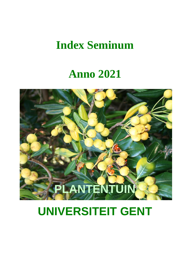## **Index Seminum**

# **Anno 2021**



# **UNIVERSITEIT GENT**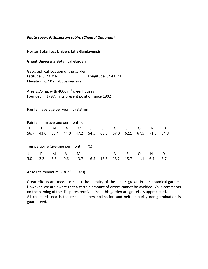## *Photo cover: Pittosporum tobira (Chantal Dugardin)*

### **Hortus Botanicus Universitatis Gandavensis**

### **Ghent University Botanical Garden**

Geographical location of the garden Latitude: 51° 02' N Longitude: 3° 43.5' E Elevation: c. 10 m above sea level

Area 2.75 ha, with 4000 m² greenhouses Founded in 1797, in its present position since 1902

Rainfall (average per year): 673.3 mm

|      | Rainfall (mm average per month):       |      |      |      |              |              |      |      |          |      |      |
|------|----------------------------------------|------|------|------|--------------|--------------|------|------|----------|------|------|
|      | F.                                     | M    | A    | M    | $\mathbf{J}$ | $\mathsf{J}$ | A    | S    | $\Omega$ | N.   |      |
| 56.7 | 43.0                                   | 36.4 | 44.0 | 47.2 | 54.5         | 68.8         | 67.0 | 62.1 | 67.5     | 71.3 | 54.8 |
|      | Temperature (average per month in °C): |      |      |      |              |              |      |      |          |      |      |
|      | F                                      | м    | A    |      | M J          | $\mathsf{J}$ | A    | S.   | O        | N    | D    |
| 3.0  | 3.3                                    | 6.6  | 9.6  | 13.7 | 16.5         | 18.5         | 18.2 | 15.7 |          | 6.4  | 3.7  |

Absolute minimum: -18.2 °C (1929)

Great efforts are made to check the identity of the plants grown in our botanical garden. However, we are aware that a certain amount of errors cannot be avoided. Your comments on the naming of the diaspores received from this garden are gratefully appreciated. All collected seed is the result of open pollination and neither purity nor germination is guaranteed.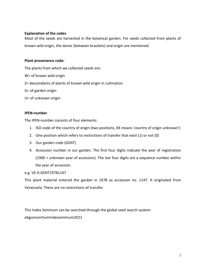## **Explanation of the codes**

Most of the seeds are harvested in the botanical garden. For seeds collected from plants of known wild origin, the donor (between brackets) and origin are mentioned.

## **Plant provenance code:**

The plants from which we collected seeds are:

- W= of known wild origin
- Z= descendants of plants of known wild origin in cultivation
- G= of garden origin
- U= of unknown origin

## **IPEN-number**

The IPEN-number consists of four elements:

- 1. ISO-code of the country of origin (two positions, XX means 'country of origin unknown')
- 2. One position which refers to restrictions of transfer that exist (1) or not (0)
- 3. Our garden code (GENT)
- 4. Accession number in our garden. The first four digits indicate the year of registration (1900 = unknown year of accession). The last four digits are a sequence number within the year of accession.

## e.g. VE-0-GENT19781147

This plant material entered the garden in 1978 as accession no. 1147. It originated from Venezuela. There are no restrictions of transfer.

This Index Seminum can be searched through the global seed search system: ebgconsortiumindexseminum2021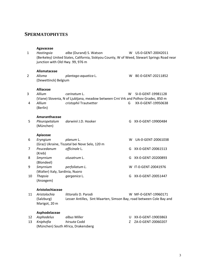## **SPERMATOPHYTES**

#### **Agavaceae**

| 1              | Hastingsia<br>junction with Old Hwy. 99, 976 m                 | alba (Durand) S. Watson<br>(Berkeley) United States, California, Siskiyou County, W of Weed, Stewart Springs Road near       |        | W US-0-GENT-20042011                     |
|----------------|----------------------------------------------------------------|------------------------------------------------------------------------------------------------------------------------------|--------|------------------------------------------|
| $\overline{2}$ | Alismataceae<br>Alisma<br>(Dewettinck) Belgium                 | plantago-aquatica L.                                                                                                         |        | W BE-0-GENT-20211852                     |
| 3<br>4         | <b>Alliaceae</b><br><b>Allium</b><br><b>Allium</b><br>(Berlin) | carinatum L.<br>(Viane) Slovenia, N of Ljubljana, meadow between Crni Vrk and Polhov Gradec, 850 m<br>cristophii Trautvetter | W<br>G | SI-0-GENT-19981128<br>XX-0-GENT-19950638 |
| 5              | Amaranthaceae<br>Pleuropetalum<br>(München)                    | darwinii J.D. Hooker                                                                                                         | G      | XX-0-GENT-19900484                       |
|                | Apiaceae                                                       |                                                                                                                              |        |                                          |
| 6              | Eryngium                                                       | planum L.<br>(Graz) Ukraine, Tiszatal bei Nove Selo, 120 m                                                                   |        | W UA-0-GENT-20061038                     |
| 7              | Peucedanum<br>(Kreb)                                           | officinale L.                                                                                                                | G      | XX-0-GENT-20061513                       |
| 8              | Smyrnium<br>(Blondeel)                                         | olusatrum L.                                                                                                                 | G      | XX-0-GENT-20200893                       |
| 9              | Smyrnium<br>(Walter) Italy, Sardinia, Nuoro                    | perfoliatum L.                                                                                                               |        | W IT-0-GENT-20041976                     |
| 10             | <b>Thapsia</b><br>(Anzegem)                                    | garganica L.                                                                                                                 | G      | XX-0-GENT-20051447                       |
|                | Aristolochiaceae                                               |                                                                                                                              |        |                                          |

11 *Aristolochia littoralis* D. Parodi W MF-0-GENT-19960171 Lesser Antilles, Sint Maarten, Simson Bay, road between Cole Bay and Marigot, 20 m

## **Asphodelaceae**

| 12 Asphodelus | <i>albus</i> Miller                 | U XX-0-GENT-19003863 |
|---------------|-------------------------------------|----------------------|
| 13 Kniphofia  | <i>hirsuta</i> Codd                 | Z ZA-0-GENT-20060207 |
|               | (München) South Africa, Drakensberg |                      |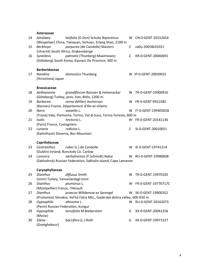**Asteraceae**

| 14 | Asteraceae<br>Ainsliaea                              | latifolia (D.Don) Schultz Bipontinus                                                              | W  | CN-0-GENT-20152654   |
|----|------------------------------------------------------|---------------------------------------------------------------------------------------------------|----|----------------------|
| 15 | Berkheya<br>(Utrecht) South Africa, Drakensberge     | (Wespelaar) China, Tianquan, Sichuan, Erlang Shan, 2189 m<br>purpurea (de Candolle) Masters       | Z  | za0u-2005BL01021     |
| 16 | Syneilesis                                           | palmata (Thunberg) Maximowicz<br>(Göteborg) South Korea, Kyonyci Do Province, 300 m               | Z  | KR-0-GENT-20040691   |
| 17 | <b>Berberidaceae</b><br>Nandina<br>(Hiroshima) Japan | domestica Thunberg                                                                                |    | W JP-0-GENT-20030025 |
| 18 | <b>Brassicaceae</b><br>Aethionema                    | grandiflorum Boissier & Hohenacker                                                                | W  | TR-0-GENT-19900910   |
|    |                                                      | (Göteborg) Turkey, prov. Van, Bitlis, 2200 m.                                                     |    |                      |
| 19 | <b>Barbarea</b>                                      | verna (Miller) Ascherson<br>(Rennes) France, Département d'Ille-et-Vilaine                        | W  | FR-0-GENT-9921582    |
| 20 | <b>Iberis</b>                                        | saxatilis L.                                                                                      | W  | IT-0-GENT-19940581B  |
| 21 | Isatis                                               | (Trana) Italy, Piemonte, Torino, Val di Susa, Torino Foresto, 600 m<br>tinctoria L.               | W  | FR-0-GENT-20141136   |
|    | (Paris) France, Castagniers                          |                                                                                                   |    |                      |
| 22 | Lunaria<br>(Kalmthout) Slovenia, Boc Mountain        | rediviva L.                                                                                       | Ζ  | SI-0-GENT-20010051   |
|    |                                                      |                                                                                                   |    |                      |
| 23 | Caprifoliaceae<br>Centranthus                        | ruber (L.) de Candolle                                                                            | W  | IE-0-GENT-19741214   |
|    | (Dublin) Ireland, Bunclody Co. Carlow                |                                                                                                   |    |                      |
| 24 | Lonicera                                             | sachalinensis (F.Schmidt) Nakai<br>(Sakhalinsk) Russian Federation, Sakhalin Island, Cape Lamanon |    | W RU-0-GENT-19980838 |
|    |                                                      |                                                                                                   |    |                      |
| 25 | Caryophyllaceae<br><b>Dianthus</b>                   | diffusus Smith                                                                                    | W  | TR-0-GENT-19970105   |
|    | (Izmir) Turkey, Yamanlardagi-Izmir                   |                                                                                                   |    |                      |
| 26 | <b>Dianthus</b>                                      | plumarius L.                                                                                      | W  | FR-0-GENT-19770717C  |
| 27 | (Montpellier) France, l'Hérault<br><b>Dianthus</b>   | praecox Willdenow ex Sprengel                                                                     | W. | SK-0-GENT-19900352   |
|    |                                                      | (Pruhonice) Slovakia, Vel'ká Fatra Mts., Gaderská dolina valley, 600-650 m                        |    |                      |
| 28 | Gypsophila                                           | altissima L.                                                                                      | W  | RU-0-GENT-20162073   |
|    | (Perm) Russian Federation, Kungur                    |                                                                                                   |    |                      |
| 29 | Gypsophila                                           | tenuifolia M.Bieberstein                                                                          | G  | XX-0-GENT-20041256   |
| 30 | (Meise)<br>Silene<br>(Goetghebeur)                   | baccifera (L.) Roth                                                                               | G  | XX-0-GENT-19971527   |
|    |                                                      |                                                                                                   |    |                      |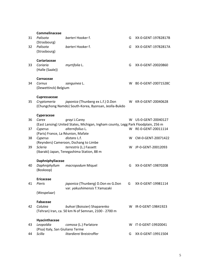| 31 | Commelinaceae<br>Palisota                     | barteri Hooker f.                                                                                              | G | XX-0-GENT-19782817B  |
|----|-----------------------------------------------|----------------------------------------------------------------------------------------------------------------|---|----------------------|
| 32 | (Strasbourg)<br>Palisota<br>(Strasbourg)      | barteri Hooker f.                                                                                              | G | XX-0-GENT-19782817A  |
| 33 | Coriariaceae<br>Coriaria<br>(Halle (Saale))   | myrtifolia L.                                                                                                  | G | XX-0-GENT-20020860   |
| 34 | Cornaceae<br>Cornus<br>(Dewettinck) Belgium   | sanguinea L.                                                                                                   | w | BE-0-GENT-20071528C  |
| 35 | Cupressaceae<br>Cryptomeria                   | <i>japonica</i> (Thunberg ex L.f.) D.Don<br>(Chungchong Namdo) South-Korea, Byonsan, Jeolla-Bukdo              |   | W KR-0-GENT-20040628 |
|    | Cyperaceae                                    |                                                                                                                |   |                      |
| 36 | Carex                                         | grayi J.Carey                                                                                                  | w | US-0-GENT-20040127   |
| 37 | Cyperus<br>(Paris) France, La Réunion, Mafate | (East Lansing) United States, Michigan, Ingham county, Legg Park Floodplain, 256 m<br>alternifolius L.         |   | W RE-0-GENT-20011114 |
| 38 | Cyperus                                       | distans L.f.                                                                                                   | w | CM-0-GENT-20071422   |
| 39 | <b>Scleria</b>                                | (Reynders) Cameroon, Dschang to Limbe<br>terrestris (L.) Fassett<br>(Ibaraki) Japan, Tenegashima Station, 88 m |   | W JP-0-GENT-20012093 |
|    | Daphniphyllaceae                              |                                                                                                                |   |                      |
| 40 | Daphniphyllum<br>(Boskoop)                    | macropodum Miquel                                                                                              | G | XX-0-GENT-19870208   |
|    | <b>Ericaceae</b>                              |                                                                                                                |   |                      |
| 41 | Pieris                                        | japonica (Thunberg) D.Don ex G.Don<br>var. yakushimensis T.Yamazaki                                            | G | XX-0-GENT-19981114   |
|    | (Wespelaar)                                   |                                                                                                                |   |                      |
| 42 | <b>Fabaceae</b><br>Colutea                    | buhsei (Boissier) Shaparenko<br>(Tehran) Iran, ca. 50 km N of Semnan, 2100 - 2700 m                            |   | W IR-0-GENT-19841923 |
|    | Hyacinthaceae                                 |                                                                                                                |   |                      |
| 43 | Leopoldia<br>(Pisa) Italy, San Giuliano Terme | comosa (L.) Parlatore                                                                                          | w | IT-0-GENT-19920041   |
| 44 | Scilla                                        | litardierei Breistroffer                                                                                       | G | XX-0-GENT-19911504   |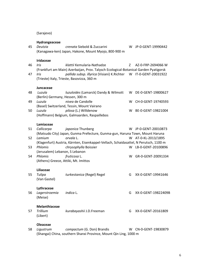(Sarajevo)

## **Hydrangeaceae**

| 45 | Deutzia                              | crenata Siebold & Zuccarini                                                           |    | W JP-0-GENT-19990442 |
|----|--------------------------------------|---------------------------------------------------------------------------------------|----|----------------------|
|    |                                      | (Kanagawa-ken) Japan, Hakone, Mount Myojo, 800-900 m                                  |    |                      |
|    | <b>Iridaceae</b>                     |                                                                                       |    |                      |
| 46 | Iris                                 | klattii Kemularia-Nathadze                                                            | Z  | AZ-0-FRP-2694066 W   |
|    |                                      | (Frankfurt am Main) Azerbaijan, Prov. Talysch Ecological-Botanical Garden Pyatigorsk  |    |                      |
| 47 | Iris                                 | pallida subsp. illyrica (Visiani) K.Richter                                           |    | W IT-0-GENT-20031922 |
|    |                                      | (Trieste) Italy, Trieste, Basovizza, 360 m                                            |    |                      |
|    | Juncaceae                            |                                                                                       |    |                      |
| 48 | Luzula                               | luzuloides (Lamarck) Dandy & Wilmott                                                  | W  | DE-0-GENT-19800627   |
|    | (Berlin) Germany, Hessen, 300 m      |                                                                                       |    |                      |
| 49 | Luzula                               | nivea de Candolle                                                                     | w  | CH-0-GENT-19740593   |
|    |                                      | (Basel) Switzerland, Tessin, Mount Vairano                                            |    |                      |
| 50 | Luzula                               | pilosa (L.) Willdenow                                                                 | W. | BE-0-GENT-19821004   |
|    |                                      | (Hoffmann) Belgium, Galmaarden, Raspaillebos                                          |    |                      |
|    | Lamiaceae                            |                                                                                       |    |                      |
| 51 | Callicarpa                           | japonica Thunberg                                                                     | W. | JP-0-GENT-20010873   |
|    |                                      | (Matsudo City) Japan, Gunma Prefecture, Gunma-gun, Haruna Town, Mount Haruna          |    |                      |
| 52 | Lamium                               | orvala L.                                                                             |    | W AT-0-KL-2013/1895  |
|    |                                      | (Klagenfurt) Austria, Kärnten, Eisenkappel-Vellach, Schaidasattel, N Perutsch, 1100 m |    |                      |
| 53 | Phlomis                              | chrysophylla Boissier                                                                 | W  | LB-0-GENT-20100896   |
|    | (Jerusalem) Lebanon, S Lebanon       |                                                                                       |    |                      |
| 54 | Phlomis                              | fruticosa L.                                                                          | W  | GR-0-GENT-20091334   |
|    | (Athens) Greece, Attiki, Mt. Imittos |                                                                                       |    |                      |
|    | Liliaceae                            |                                                                                       |    |                      |
| 55 | Tulipa                               | turkestanica (Regel) Regel                                                            | G  | XX-0-GENT-19941646   |
|    | (Van Gastel)                         |                                                                                       |    |                      |
|    |                                      |                                                                                       |    |                      |
|    | Lythraceae                           |                                                                                       |    |                      |
| 56 | Lagerstroemia                        | <i>indica</i> L.                                                                      | G  | XX-0-GENT-19822409B  |
|    | (Meise)                              |                                                                                       |    |                      |
|    | Melanthiaceae                        |                                                                                       |    |                      |
| 57 | Trillium                             | kurabayashii J.D.Freeman                                                              | G  | XX-0-GENT-20161809   |
|    | (Libert)                             |                                                                                       |    |                      |
|    | محموموا                              |                                                                                       |    |                      |

**Oleaceae**<br>58 Ligustrum 58 *Ligustrum compactum* (G. Don) Brandis W CN-0-GENT-19830879 (Shangai) China, southern Shanxi Province, Mount Qin Ling, 1000 m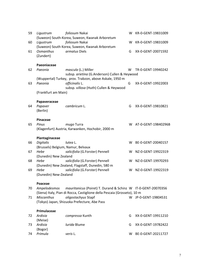| 59 | Ligustrum                                  | foliosum Nakai<br>(Suweon) South-Korea, Suweon, Kwanak Arboretum                                                                          | W | KR-0-GENT-19831009    |
|----|--------------------------------------------|-------------------------------------------------------------------------------------------------------------------------------------------|---|-----------------------|
| 60 | Ligustrum                                  | foliosum Nakai                                                                                                                            | W | KR-0-GENT-19831009    |
| 61 | <b>Osmanthus</b><br>(Zundert)              | (Suweon) South Korea, Suweon, Kwanak Arboretum<br>armatus Diels                                                                           | G | XX-0-GENT-20071592    |
|    | Paeoniaceae                                |                                                                                                                                           |   |                       |
| 62 | Paeonia                                    | mascula (L.) Miller<br>subsp. arietina (G.Anderson) Cullen & Heywood                                                                      | w | TR-0-GENT-19940242    |
|    |                                            | (Wuppertal) Turkey, prov. Trabzon, above Askale, 1950 m                                                                                   |   |                       |
| 63 | Paeonia                                    | officinalis L.<br>subsp. villosa (Huth) Cullen & Heywood                                                                                  | G | XX-0-GENT-19922003    |
|    | (Frankfurt am Main)                        |                                                                                                                                           |   |                       |
|    | Papaveraceae                               |                                                                                                                                           |   |                       |
| 64 | Papaver<br>(Berlin)                        | cambricum L.                                                                                                                              | G | XX-0-GENT-19810821    |
|    | Pinaceae                                   |                                                                                                                                           |   |                       |
| 65 | Pinus                                      | mugo Turra                                                                                                                                |   | W AT-0-GENT-19840296B |
|    |                                            | (Klagenfurt) Austria, Karwanken, Hochobir, 2000 m                                                                                         |   |                       |
|    | Plantaginaceae                             |                                                                                                                                           |   |                       |
| 66 | <b>Digitalis</b>                           | lutea L.                                                                                                                                  | w | BE-0-GENT-20040157    |
| 67 | (Brussels) Belgium, Namur, Belvaux<br>Hebe | salicifolia (G.Forster) Pennell                                                                                                           |   | W NZ-0-GENT-19922319  |
|    | (Dunedin) New Zealand                      |                                                                                                                                           |   |                       |
| 68 | Hebe                                       | salicifolia (G.Forster) Pennell                                                                                                           | W | NZ-0-GENT-19970293    |
|    |                                            | (Dunedin) New Zealand, Flagstaff, Dunedin, 580 m                                                                                          |   |                       |
| 69 | Hebe<br>(Dunedin) New-Zealand              | salicifolia (G.Forster) Pennell                                                                                                           | W | NZ-0-GENT-19922319    |
|    |                                            |                                                                                                                                           |   |                       |
|    | Poaceae                                    |                                                                                                                                           |   |                       |
| 70 | Ampelodesmos                               | mauritanicus (Poiret) T. Durand & Schinz W IT-0-GENT-20070356<br>(Siena) Italy, Pian di Rocca, Castiglione della Pescaia (Grosseto), 10 m |   |                       |
| 71 | <b>Miscanthus</b>                          | oligostachyus Stapf                                                                                                                       |   | W JP-0-GENT-19804531  |
|    |                                            | (Tokyo) Japan, Shizuoka Prefecture, Abe Pass                                                                                              |   |                       |
|    | Primulaceae                                |                                                                                                                                           |   |                       |
| 72 | Ardisia                                    | compressa Kunth                                                                                                                           | G | XX-0-GENT-19911210    |
|    | (Meise)                                    |                                                                                                                                           |   |                       |
| 73 | Ardisia                                    | lurida Blume                                                                                                                              | G | XX-0-GENT-19782422    |
|    | (Bogor)<br>Primula                         |                                                                                                                                           |   |                       |
| 74 |                                            | veris L.                                                                                                                                  | W | BE-0-GENT-20211727    |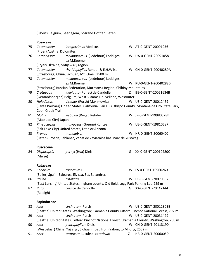(Libert) Belgium, Beerlegem, bosrand Hof ter Biezen

|    | Rosaceae                            |                                                                                               |   |                       |
|----|-------------------------------------|-----------------------------------------------------------------------------------------------|---|-----------------------|
| 75 | Cotoneaster                         | integerrimus Medicus                                                                          |   | W AT-0-GENT-20091056  |
|    | (Fryer) Austria, Dolomites          |                                                                                               |   |                       |
| 76 | Cotoneaster                         | melanocarpus (Ledebour) Loddiges<br>ex M.Roemer                                               |   | W UA-0-GENT-20091058  |
|    | (Fryer) Ukraine, Sofijewskij region |                                                                                               |   |                       |
| 77 | Cotoneaster                         | rhytidophyllus Rehder & E.H. Wilson                                                           |   | W CN-0-GENT-20040289A |
|    |                                     | (Strasbourg) China, Sichuan, Mt. Omei, 2500 m                                                 |   |                       |
| 78 | Cotoneaster                         | melanocarpus (Ledebour) Loddiges                                                              |   |                       |
|    |                                     | ex M.Roemer                                                                                   |   | W RU-0-GENT-20040288B |
|    |                                     | (Strasbourg) Russian Federation, Murmansk Region, Chibiny Mountains                           |   |                       |
| 79 | Crataegus                           | laevigata (Poiret) de Candolle                                                                | Z | BE-0-GENT-20051634B   |
|    |                                     | (Geraardsbergen) Belgium, West-Vlaams Heuvelland, Westouter                                   |   |                       |
| 80 | Holodiscus                          | discolor (Pursh) Maximowicz                                                                   |   | W US-0-GENT-20012469  |
|    | Coon Creek Trail.                   | (Santa Barbara) United States, California. San Luis Obispo County. Montana de Oro State Park, |   |                       |
| 81 | Malus                               | sieboldii (Regel) Rehder                                                                      |   | W JP-0-GENT-19980528B |
|    | (Matsudo City) Japan                |                                                                                               |   |                       |
| 82 | Physocarpus                         | malvaceus (Greene) Kuntze                                                                     |   | W US-0-GENT-19810587  |
|    |                                     | (Salt Lake City) United States, Utah or Arizona                                               |   |                       |
| 83 | Prunus                              | mahaleb L.                                                                                    |   | W HR-0-GENT-20060402  |
|    |                                     | (Otten) Croatia, Jablanac, vanaf de Zaviatnica baai naar de kustweg                           |   |                       |
|    |                                     |                                                                                               |   |                       |
|    | <b>Ruscaceae</b>                    |                                                                                               |   |                       |
| 84 | <b>Disporopsis</b><br>(Meise)       | pernyi (Hua) Diels                                                                            | G | XX-0-GENT-20010280C   |
|    | Rutaceae                            |                                                                                               |   |                       |
| 85 | Cneorum                             | tricoccum L.                                                                                  |   | W ES-0-GENT-19960260  |
|    |                                     | (Soller) Spain, Baleares, Eivissa, Ses Balandres                                              |   |                       |
| 86 | Ptelea                              | trifoliata L.                                                                                 | w | US-0-GENT-20070387    |
|    |                                     | (East Lansing) United States, Ingham county, Old field, Legg Park Parking Lot, 259 m          |   |                       |
| 87 | Ruta                                | corsica de Candolle                                                                           | G | XX-0-GENT-20142144    |
|    | (Raleigh)                           |                                                                                               |   |                       |
|    | Sapindaceae                         |                                                                                               |   |                       |
| 88 | Acer                                | circinatum Pursh                                                                              |   | W US-0-GENT-20012303B |
|    |                                     | (Seattle) United States, Washington; Skamania County, Gifford Pinchot National Forest, 792 m  |   |                       |
| 89 | Acer                                | circinatum Pursh                                                                              |   | W US-0-GENT-20031429  |
|    |                                     | (Seattle) United States, Gifford Pinchot National Forest, Skamania County, Washington, 700 m  |   |                       |

- 90 *Acer pentaphyllum* Diels W CN-0-GENT-20113190 (Wespelaar) China, Yajiang , Sichuan, road from Yalong to Milong, 2532 m
- 91 *Acer tataricum* L. subsp. *tataricum* Z HR-0-GENT-20060050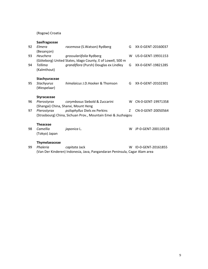(Rogow) Croatia

|    | Saxifragaceae        |                                                               |   |                     |
|----|----------------------|---------------------------------------------------------------|---|---------------------|
| 92 | <b>Flmera</b>        | racemosa (S. Watson) Rydberg                                  | G | XX-0-GENT-20160037  |
|    | (Besançon)           |                                                               |   |                     |
| 93 | Heuchera             | grossulariifolia Rydberg                                      | w | US-0-GENT-19931153  |
|    |                      | (Göteborg) United States, Idago County, E of Lowell, 500 m    |   |                     |
| 94 | Tellima              | grandiflora (Pursh) Douglas ex Lindley                        | G | XX-0-GENT-19821285  |
|    | (Kalmthout)          |                                                               |   |                     |
|    | Stachyuraceae        |                                                               |   |                     |
| 95 | Stachyurus           | himalaicus J.D.Hooker & Thomson                               | G | XX-0-GENT-20102301  |
|    | (Wespelaar)          |                                                               |   |                     |
|    | <b>Styracaceae</b>   |                                                               |   |                     |
| 96 | Pterostyrax          | corymbosus Siebold & Zuccarini                                | W | CN-0-GENT-19971358  |
|    |                      | (Shangai) China, Shanxi, Mount Heng                           |   |                     |
| 97 | Pterostyrax          | psilophyllus Diels ex Perkins                                 | Z | CN-0-GENT-20050564  |
|    |                      | (Strasbourg) China, Sichuan Prov., Mountain Emei & Jiuzhaigou |   |                     |
|    | <b>Theaceae</b>      |                                                               |   |                     |
| 98 | Camellia             | japonica L.                                                   | W | JP-0-GENT-20011051B |
|    | (Tokyo) Japan        |                                                               |   |                     |
|    | <b>Thymelaeaceae</b> |                                                               |   |                     |
| 99 | Phaleria             | capitata Jack                                                 | W | ID-0-GENT-20161855  |

(Van Der Kinderen) Indonesia, Java, Pangandaran Peninsula, Cagar Alam area

9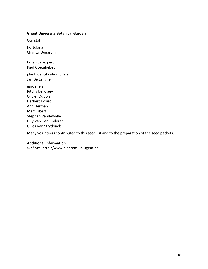## **Ghent University Botanical Garden**

Our staff:

hortulana Chantal Dugardin

botanical expert Paul Goetghebeur

plant identification officer Jan De Langhe

gardeners Ritchy De Kraey Olivier Dubois Herbert Evrard Ann Herman Marc Libert Stephan Vandewalle Guy Van Der Kinderen Gilles Van Strydonck

Many volunteers contributed to this seed list and to the preparation of the seed packets.

## **Additional information**

*Website*: [http://www.plantentuin.ugent.be](http://www.plantentuin-gent.be/)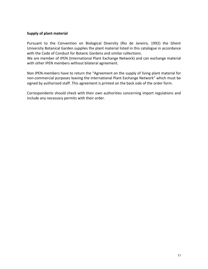## **Supply of plant material**

Pursuant to the Convention on Biological Diversity (Rio de Janeiro, 1992) the Ghent University Botanical Garden supplies the plant material listed in this catalogue in accordance with the Code of Conduct for Botanic Gardens and similar collections.

We are member of IPEN (International Plant Exchange Network) and can exchange material with other IPEN members without bilateral agreement.

Non IPEN-members have to return the "Agreement on the supply of living plant material for non-commercial purposes leaving the International Plant Exchange Network" which must be signed by authorized staff. This agreement is printed on the back side of the order form.

Correspondents should check with their own authorities concerning import regulations and include any necessary permits with their order.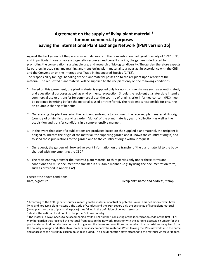## **Agreement on the supply of living plant material <sup>1</sup> for non-commercial purposes leaving the International Plant Exchange Network (IPEN version 2b)**

Against the background of the provisions and decisions of the Convention on Biological Diversity of 1992 (CBD) and in particular those on access to genetic resources and benefit sharing, the garden is dedicated to promoting the conservation, sustainable use, and research of biological diversity. The garden therefore expects its partners in acquiring, maintaining and transferring plant material to always act in accordance with the CBD and the Convention on the International Trade in Endangered Species (CITES). The responsibility for legal handling of the plant material passes on to the recipient upon receipt of the material. The requested plant material will be supplied to the recipient only on the following conditions:

- 1. Based on this agreement, the plant material is supplied only for non-commercial use such as scientific study and educational purposes as well as environmental protection. Should the recipient at a later date intend a commercial use or a transfer for commercial use, the country of origin's prior informed consent (PIC) must be obtained in writing before the material is used or transferred. The recipient is responsible for ensuring an equitable sharing of benefits.
- 2. On receiving the plant material, the recipient endeavors to document the received plant material, its origin (country of origin, first receiving garden, 'donor' of the plant material, year of collection) as well as the acquisition and transfer conditions in a comprehensible manner.
- 3. In the event that scientific publications are produced based on the supplied plant material, the recipient is obliged to indicate the origin of the material (the supplying garden and if known the country of origin) and to send these publications to the garden and to the country of origin without request.
- 4. On request, the garden will forward relevant information on the transfer of the plant material to the body charged with implementing the CBD².
- 5. The recipient may transfer the received plant material to third parties only under these terms and conditions and must document the transfer in a suitable manner. (e.g. by using the documentation form, such as provided in Annex  $1.4<sup>3</sup>$ )

Date, Signature **Dates, Signature** Recipient's name and address, stamp

<sup>1</sup> According to the CBD 'genetic sources' means genetic material of actual or potential value. This definition covers both living and not living plant material. The Code of Conduct and the IPEN covers only the exchange of living plant material (living plants or parts of plants, diasporas) thus falling in the definition of genetic resources.

<sup>2</sup> ideally, the national focal point in the garden's home country.

I accept the above conditions.

<sup>&</sup>lt;sup>3</sup> The material always needs to be accompanied by its IPEN-number, consisting of the identification code of the first IPEN member garden that received the material from outside the network, together with the gardens accession-number for the plant material. Additionally the country of origin and the terms and conditions under which the material was acquired from the country of origin and other stake-holders must accompany the material. When leaving the IPEN-network, also the name and address of the first IPEN-garden must be included. This documentation stays attached to the material wherever it goes.